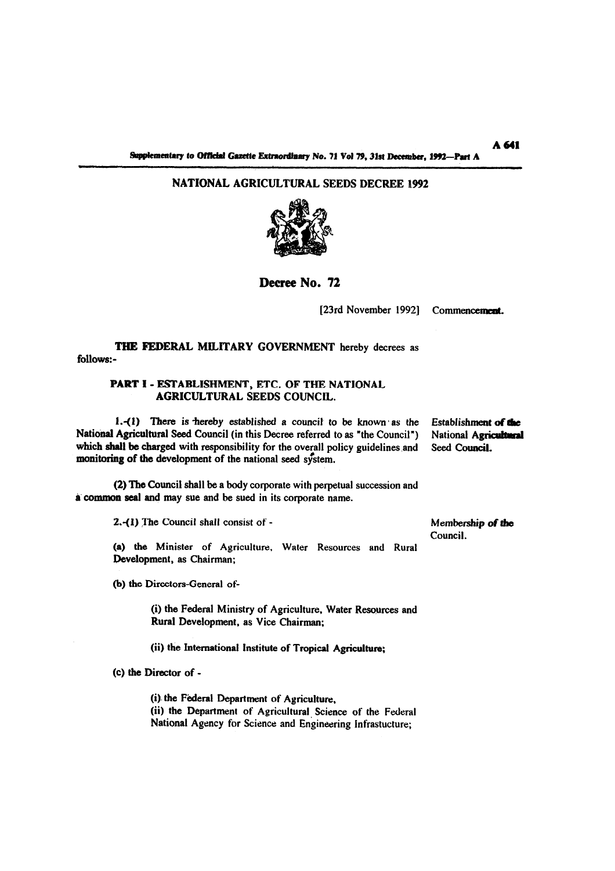# **NATIONAL AGRICULTURAL SEEDS DECREE 1992**



**Decree No. 72** 

[23rd November 1992] Commencement.

**THE FEDERAL MILITARY GOVERNMENT** hereby decrees as follows:-

## **PART 1** - **ESTABLISHMENT, ETC. OF THE NATIONAL AGRICULTURAL SEEDS COUNCIL.**

**1.-(1)** There is thereby established a council to be known as the Establishment of the National Agricultural Seed Council (in this Decree referred to as "the Council") National Agricultural which shall be charged with responsibility for the overall policy guidelines and Seed Council. monitoring of the development of the national seed system.

(2) **The** Council shall be a body corporate with perpetual succession and a **common** seal and may sue and **be** sued in its corporate name.

**2.41)** ne Council shall consist of - **Membership of** *tbo* 

**(a)** the Minister of Agriculture. Water Resources and Rural Development, as Chairman;

(b) the Directors-General of-

(i) the Federal Ministry of Agriculture, Water Resources and Rural Development, **as** Vice Chairman;

**(ii)** the International Institute of Tropical Agriculture;

**(C) the** Director of -

(i) the Federal Department of Agriculture. (ii) the Department of Agricultural Science of the Federal National Agency for Science and Engineering Infrastucture;

Council.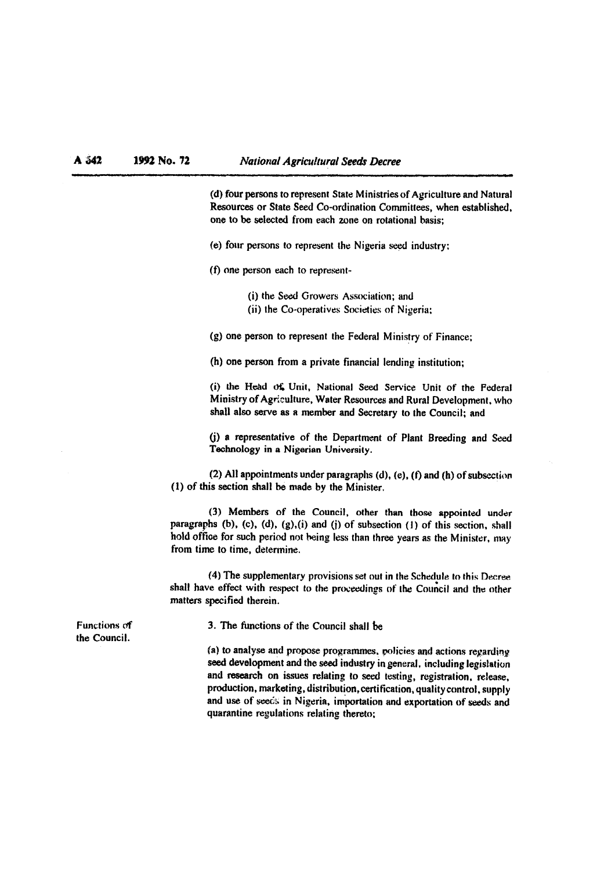(d) **four** persons to represent State Ministries of Agriculture and Natural Resources or State Seed Co-ordination Committees, when established, one to be selected from each zone on rotational basis;

(e) four persons to represent the Nigeria seed industry:

**(t)** one person each to represent-

(i) the **Seed** Growers Association; and (ii) the Co-operatives Societies **of** Nigeria:

**(g)** one person to represent the Federal Ministry of Finance;

(h) one person from a private financial lending institution;

(i) the **H&d 0%** Unit, National **Seed** Service Unit of the Federal Ministry of Agriculture, Water Resources **and** Rural Development. who shall also serve as a member and Secretary to the Council; and

(i) a representative of the Department of Plant Breeding and Seed Technology in a Nigerian University.

(2) All appointments under paragraphs (d), (e), (f) and (h) of subsection (1) of this section shall be made by the Minister.

(3) Members of the Council, other than those appointed under paragraphs (b), (c), (d), (g),(i) and (i) of subsection (I) of this section, shall hold office for such period not being less than three years as the Minister, may from time to time, determine.

(4) The supplementary provisions set out in the Schedule to this Decree shall have effect with respect to the proceedings of the Council and the other matters specified therein.

3. The functions of the Council shall be

**(a)** to analyse and propose proprammes, **policies** and actions repardir?g seed development and the seed industry in general, including legislation and **research** on issues relating to seed testing, registration, release, production, marketing, distribution, certification, quality control. supply and use of seeds in Nigeria, importation and exportation of seeds and quarantine regulations relating thereto;

Functions **of**  the Council.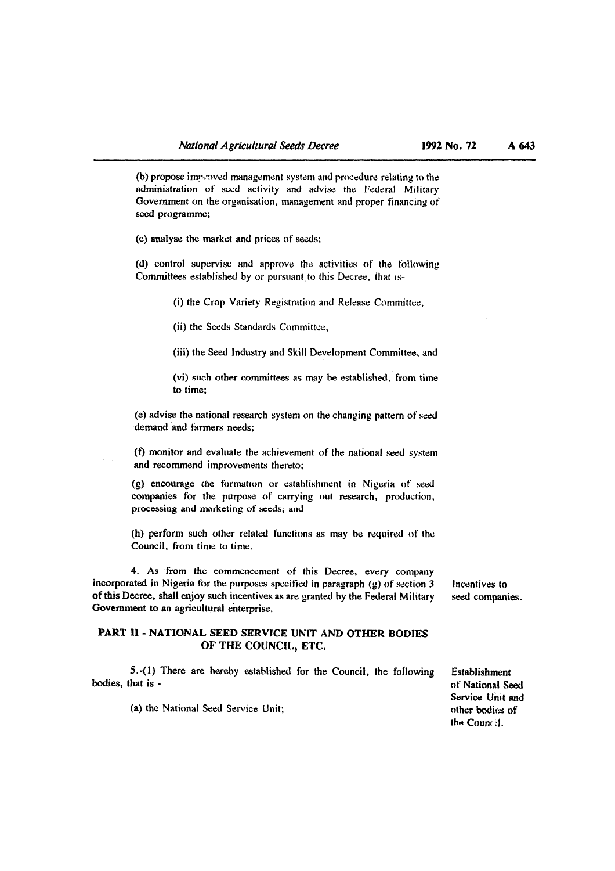$(b)$  propose improved management system and procedure relating to the administration of seed activity and advise the Federal Military Government on the organisation, management and proper financing of seed programme;

(C) analyse the market and prices of seeds;

(d) control supervise and approve the activities of the following Committees established by or pursuant, to this Decree, that is-

(i) the Crop Variety Registration and Release Committee,

(ii) the Seeds Standards Committee,

(iii) the Seed Industry and Skill Development Committee, and

(vi) such other committees as may he established, from time to time;

(e) advise the national research system on the changing pattern of seed demand and farmers needs:

**(f)** monitor and evaluate the achievenient of the national seed system and recommend improvements thereto;

(g) encourage the formation or establishment in Nigeria of seed companies for the purpose of carrying out research, production, processing and marketing of seeds; and

(h) perform such other related functions as may he required of the Council, from time to time.

4. As from the commencement of this Decree, every company incorporated in Nigeria for the purposes specified in paragraph (g) of section 3 Incentives to of this Decree, shall enjoy such incentives as are granted by the Federal Military seed companies. of this Decree, shall enjoy such incentives as are granted by the Federal Military Government to an agricultural enterprise.

## **PART I1** - **NATIONAL SEED SERVICE UNIT AND OTHER BODIES OF THE COUNCU, ETC.**

5.-(1) There are hereby established for the Council, the following Establishment bodies, that is - of National Se

(a) the National Seed Service Unit;

of National Seed Service Unit and<br>other bodies of the Counr **:I.**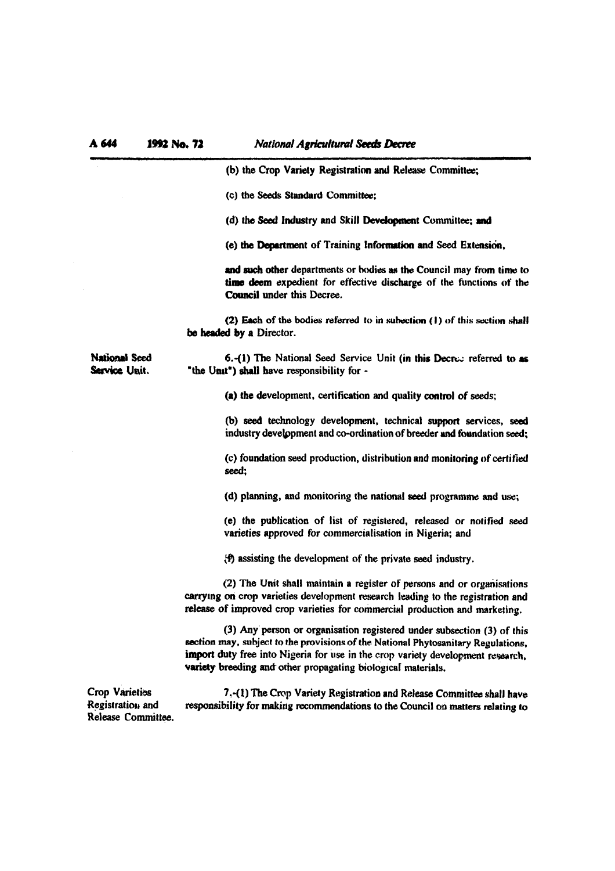| A 644                                                           | 1992 No. 72                                                                                                                                              | <b>National Agricultural Seeds Decree</b>                                                                                                                                                                                                                                                                      |
|-----------------------------------------------------------------|----------------------------------------------------------------------------------------------------------------------------------------------------------|----------------------------------------------------------------------------------------------------------------------------------------------------------------------------------------------------------------------------------------------------------------------------------------------------------------|
|                                                                 |                                                                                                                                                          | (b) the Crop Variety Registration and Release Committee;                                                                                                                                                                                                                                                       |
|                                                                 |                                                                                                                                                          | (c) the Seeds Standard Committee;                                                                                                                                                                                                                                                                              |
|                                                                 |                                                                                                                                                          | (d) the Seed Industry and Skill Development Committee; and                                                                                                                                                                                                                                                     |
|                                                                 |                                                                                                                                                          | (e) the Department of Training Information and Seed Extension,                                                                                                                                                                                                                                                 |
|                                                                 |                                                                                                                                                          | and such other departments or bodies as the Council may from time to<br>time deem expedient for effective discharge of the functions of the<br><b>Council under this Decree.</b>                                                                                                                               |
|                                                                 |                                                                                                                                                          | (2) Each of the bodies referred to in subection (1) of this section shall<br>be headed by a Director.                                                                                                                                                                                                          |
| <b>National Seed</b><br>Service Unit.                           |                                                                                                                                                          | 6.-(1) The National Seed Service Unit (in this Decrew referred to as<br>"the Unit") shall have responsibility for -                                                                                                                                                                                            |
|                                                                 |                                                                                                                                                          | (a) the development, certification and quality control of seeds;                                                                                                                                                                                                                                               |
|                                                                 |                                                                                                                                                          | (b) seed technology development, technical support services, seed<br>industry development and co-ordination of breeder and foundation seed;                                                                                                                                                                    |
|                                                                 |                                                                                                                                                          | (c) foundation seed production, distribution and monitoring of certified<br>seed;                                                                                                                                                                                                                              |
|                                                                 |                                                                                                                                                          | (d) planning, and monitoring the national seed programme and use;                                                                                                                                                                                                                                              |
|                                                                 |                                                                                                                                                          | (e) the publication of list of registered, released or notified seed<br>varieties approved for commercialisation in Nigeria; and                                                                                                                                                                               |
|                                                                 |                                                                                                                                                          | (f) assisting the development of the private seed industry.                                                                                                                                                                                                                                                    |
|                                                                 |                                                                                                                                                          | (2) The Unit shall maintain a register of persons and or organisations<br>carrying on crop varieties development research leading to the registration and<br>release of improved crop varieties for commercial production and marketing.                                                                       |
|                                                                 |                                                                                                                                                          | (3) Any person or organisation registered under subsection (3) of this<br>section may, subject to the provisions of the National Phytosanitary Regulations,<br>import duty free into Nigeria for use in the crop variety development research,<br>variety breeding and other propagating biological materials. |
| <b>Crop Varieties</b><br>Registration and<br>Release Committee. | 7.-(1) The Crop Variety Registration and Release Committee shall have<br>responsibility for making recommendations to the Council on matters relating to |                                                                                                                                                                                                                                                                                                                |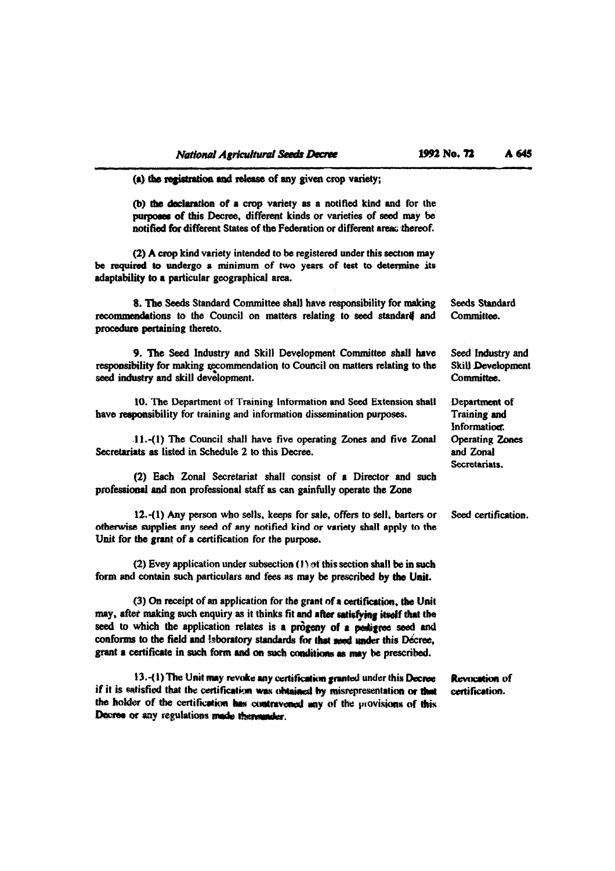| (a) the registration and release of any given crop variety;                                                                                                                                                                                                                                                                                                                                                          |                                                      |
|----------------------------------------------------------------------------------------------------------------------------------------------------------------------------------------------------------------------------------------------------------------------------------------------------------------------------------------------------------------------------------------------------------------------|------------------------------------------------------|
| (b) the declaration of a crop variety as a notified kind and for the<br>purposes of this Decree, different kinds or varieties of seed may be<br>notified for different States of the Federation or different area: thereof.                                                                                                                                                                                          |                                                      |
| (2) A crop kind variety intended to be registered under this section may<br>be required to undergo a minimum of two years of test to determine its<br>adaptability to a particular geographical area.                                                                                                                                                                                                                |                                                      |
| 8. The Seeds Standard Committee shall have responsibility for making<br>recommendations to the Council on matters relating to seed standard and<br>procedure pertaining thereto.                                                                                                                                                                                                                                     | Seeds Standard<br>Committee.                         |
| 9. The Seed Industry and Skill Development Committee shall have<br>responsibility for making recommendation to Council on matters relating to the<br>seed industry and skill development.                                                                                                                                                                                                                            | Seed Industry and<br>Skill Development<br>Committee. |
| 10. The Department of Training Information and Seed Extension shall<br>have responsibility for training and information dissemination purposes.                                                                                                                                                                                                                                                                      | Department of<br>Training and<br>Information.        |
| 11.-(1) The Council shall have five operating Zones and five Zonal<br>Secretariats as listed in Schedule 2 to this Decree.                                                                                                                                                                                                                                                                                           | <b>Operating Zones</b><br>and Zonal<br>Secretariats. |
| (2) Each Zonal Secretariat shall consist of a Director and such<br>professional and non professional staff as can gainfully operate the Zone                                                                                                                                                                                                                                                                         |                                                      |
| 12.-(1) Any person who sells, keeps for sale, offers to sell, barters or<br>otherwise supplies any seed of any notified kind or variety shall apply to the<br>Unit for the grant of a certification for the purpose.                                                                                                                                                                                                 | Seed certification.                                  |
| (2) Evey application under subsection $(1)$ of this section shall be in such<br>form and contain such particulars and fees as may be prescribed by the Unit.                                                                                                                                                                                                                                                         |                                                      |
| (3) On receipt of an application for the grant of a certification, the Unit<br>may, after making such enquiry as it thinks fit and after satisfying itself that the<br>seed to which the application relates is a progeny of a pedigree seed and<br>conforms to the field and laboratory standards for that send under this Décree,<br>grant a certificate in such form and on such conditions as may be prescribed. |                                                      |
| 13.-(1) The Unit may revoke any certification granted under this Decree<br>if it is satisfied that the certification was obtained by misrepresentation or that<br>the holder of the certification has contravened any of the provisions of this<br>Docree or any regulations made thenwader.                                                                                                                         | <b>Revocation of</b><br>certification.               |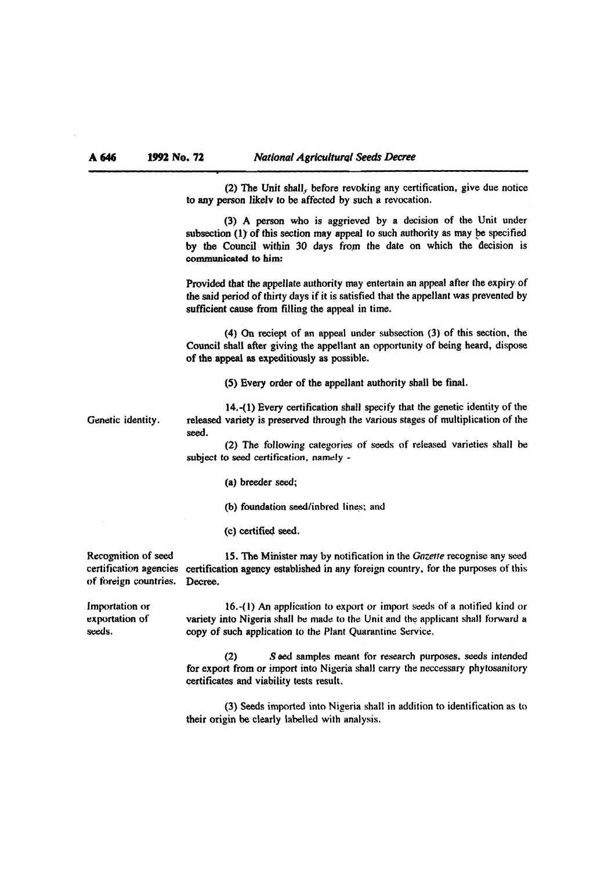(2) The Unit shall, before revoking any certification, give due notice to any person likelv to be affected by such a revocation.

(3) A person who is aggrieved by a decision of the Unit under subsection (1) of this section may appeal to such authority as may be specified by the Council within 30 days from the date on which the decision is communicated to him:

Provided that the appellate authority may entertain an appeal after the expiry. of the said period of thirty days if it is satisfied that the appellant was prevented by sufficient cause from filling the appeal in time.

(4) On reciept of **an** appeal under subsection (3) of this section. the Council shall after giving the appellant an opportunity of being heard, **dispose**  of the appeal as expeditiously as possible.

**(5)** Every order of the appellant authority shall be final.

**14.-(1)** Every certification shall specify that the genetic identity of the Genetic identity. released variety is preserved through the various stages of multiplication of the **seed.** 

> (2) The following categories of seeds of released varieties shall be subject to seed certification, namely -

> > (a) breeder seed;

(b) foundation seed/inbred lines: and

(c) certitied **seed.** 

of foreign countries. Decree.

Recognition of **seed 15.** The Minister may by notification in the **Gozetfe** recognise any wed **certificaticm** agencies certification agency established in any foreign country, for the purposes of this

Importation or **16.-( 1) An** application to export or import seeds of a notified kind or exportation of variety into Nigeria shall be made to the Unit and the applicant shall forward a seeds. copy of such application to the Plant Quarantine Service.

> (2) S eed samples meant for research purposes, seeds intended for export from or import into Nigeria shall carry the neccessary phytosanitory certificates **and** viability tests result.

> (3) **Seeds** imported into Nigeria shall in addition to identification as to their origin be clearly labelled with analysis.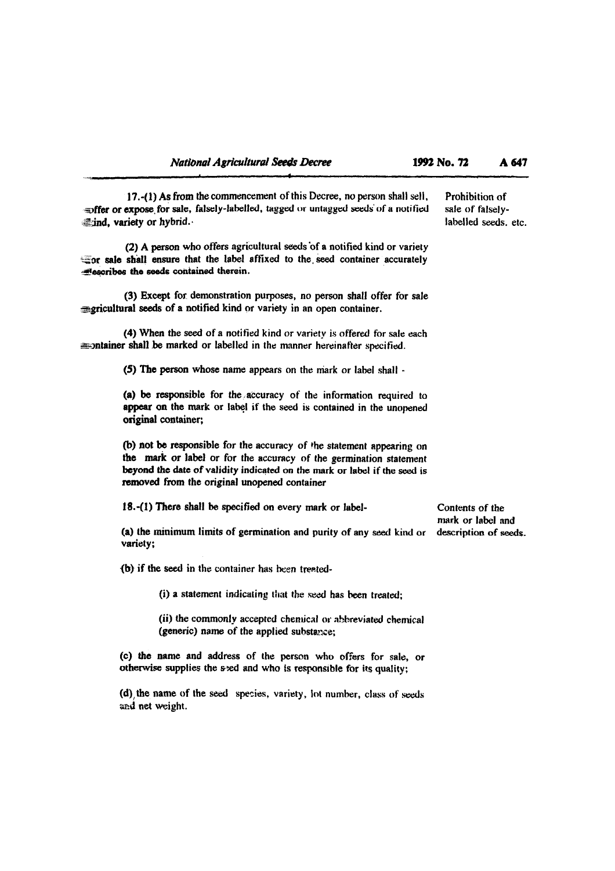**17.-(1)** As from the commencement of this Decree, no person shall sell, Prohibition of expose for sale, falsely-labelled, tagged or untagged seeds of a notified sale of falsely**and fier or expose for sale, falsely-labelled, tagged or untagged seeds of a notified** sale of falsely-<br>ind, variety or hybrid. dind, variety or hybrid.

(2) A person who offers agricultural seeds of a notified kind or variety **\*or sale** shall ensure that the label affixed to the. **seed** container accurately **.wtwribes** the **seeds** contained therein.

(3) Except for. demonstration purposes, no person shall offer for sale *zericultural seeds of a notified kind or variety in an open container.* 

(4) When the seed of a notitled kind or variety is offered for **sale** each **Example 10** in the manner hereinafter specified.

**(5) The** person whose name appears on the niark or label shall -

(a) be responsible for the accuracy of the information required to appear on the mark or label if the seed is contained in the unopened original container;

(b) not be responsible for the accuracy of **the** statement appearing on the **mark** or label or for the accuracy of the germination statement beyond the date of validity indicated on the mark or label if the seed is **rcmved from** the original unopened container

18.-(1) There shall be specified on every mark or label- Contents of the

(a) the minimum limits of germination and purity of any seed kind or variety;

**(b)** if the seed in the container has been treated-

(i) a statement indicating that the seed has been treated;

(ii) the commonly accepted chemical or abbreviated chemical (generic) name of the applied substance;

**(c)** the name and address of the **person who** offers for sale, or otherwise supplies the sed and who is responsible for its quality;

**(d)**, the name of the seed species, variety, lot number, class of seeds and net weight.

mark or label and<br>description of seeds.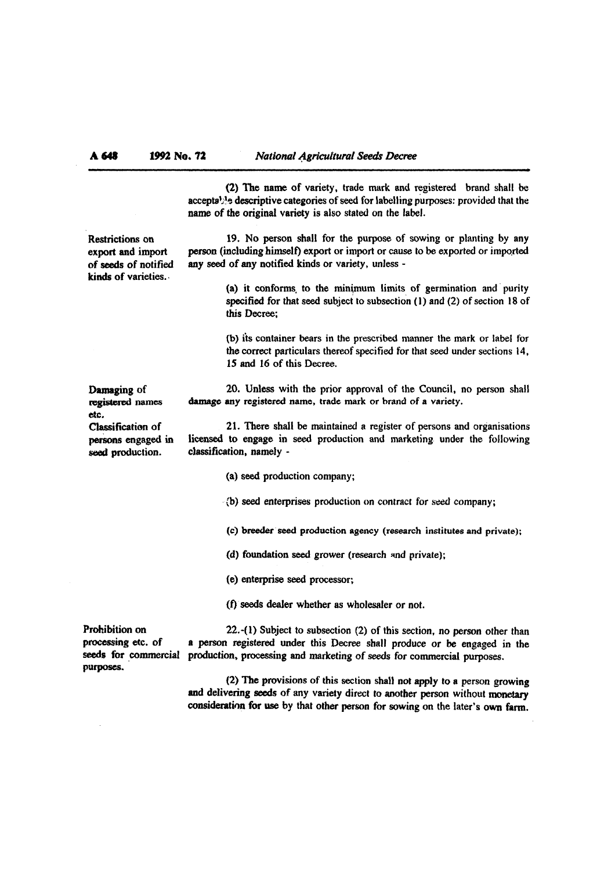(2) **The** name of variety, trade mark and registered brand shall be acceptable descriptive categories of seed for labelling purposes: provided that the name of the original variety is also stated on the label.

kinds of varieties..

Restrictions on 19. No person shall for the purpose of sowing or planting by any export and import person (including himself) export or import or cause to be exported or imported<br>of seeds of notified any seed of any notified kinds or variety, unless any seed of any notified kinds or variety, unless -

> (a) it conforms. to the minimum limits of germination and' purity specified for that seed subject to subsection (1) and (2) of section 18 of this Decree;

> (b) its container bears in the prescribed manner the mark or label for the correct particulars thereof specified for that seed under sections 14, 15 and 16 of this Decree.

**Damaging of** 20. Unless with the prior approval of the Council, no person shall registered names damage any registered name, trade mark or brand of a variety. damage any registered name, trade mark or brand of a variety.

Classification of 21. There shall be maintained a register of persons and organisations<br>persons engaged in licensed to engage in seed production and marketing under the following persons engaged in licensed to engage in seed production and marketing under the following Classification of 21. There shall<br>persons engaged in licensed to engage in<br>seed production. classification, namely -

(a) seed production company;

**{b)** seed enterprises production on contract for **seed** company;

(c) breeder **seed** production agency (research institutes and private);

(d) foundation **seed** grower (research ~nd private);

(e) enterprise **seed** processor;

**(f) seeds** dealer whether as wholesaler or not.

purposes.

Prohibition on 22.-(1) Subject to subsection (2) of this section, no person other than<br>processing etc. of a person registered under this Decree shall produce or be engaged in the a person registered under this Decree shall produce or be engaged in the seeds for commercial production, processing and marketing of seeds for commercial purposes.

> (2) The provisions of this section shall not apply to a person growing and delivering **seeds** of any variety direct to another person without **monetary**  consideration for use **by** that other person for sowing on the later's **own** farm.

etc.<br>Classification of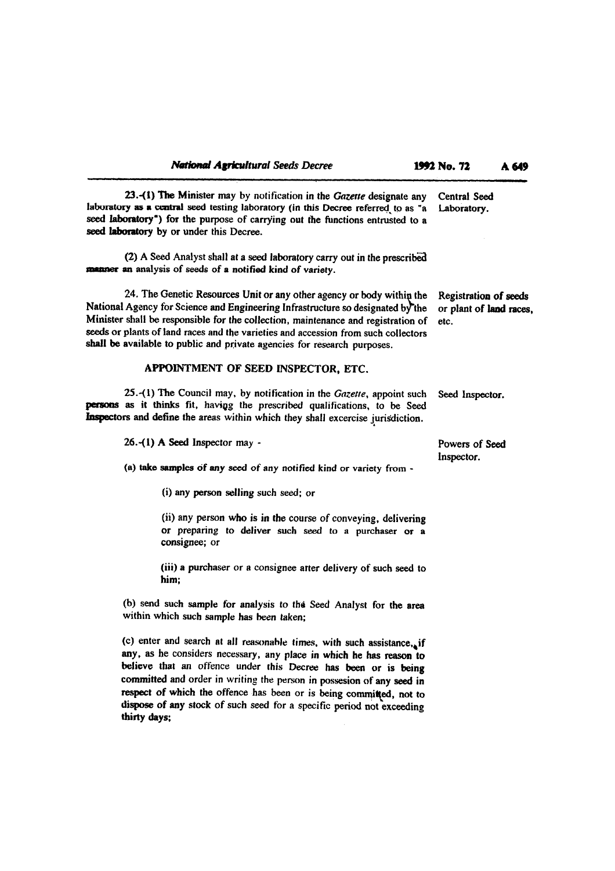| <b>National Agricultural Seeds Decree</b>                                                                                                                                                                                                                                                                                                                                                                                                                | 1992 No. 72                                              | A 649 |
|----------------------------------------------------------------------------------------------------------------------------------------------------------------------------------------------------------------------------------------------------------------------------------------------------------------------------------------------------------------------------------------------------------------------------------------------------------|----------------------------------------------------------|-------|
| 23.-(1) The Minister may by notification in the Gazette designate any<br>laboratory as a central seed testing laboratory (in this Decree referred to as "a<br>seed laboratory") for the purpose of carrying out the functions entrusted to a<br>seed laboratory by or under this Decree.                                                                                                                                                                 | Central Seed<br>Laboratory.                              |       |
| (2) A Seed Analyst shall at a seed laboratory carry out in the prescribed<br>manner an analysis of seeds of a notified kind of variety.                                                                                                                                                                                                                                                                                                                  |                                                          |       |
| 24. The Genetic Resources Unit or any other agency or body within the<br>National Agency for Science and Engineering Infrastructure so designated by the<br>Minister shall be responsible for the collection, maintenance and registration of<br>seeds or plants of land races and the varieties and accession from such collectors<br>shall be available to public and private agencies for research purposes.                                          | Registration of seeds<br>or plant of land races,<br>etc. |       |
| APPOINTMENT OF SEED INSPECTOR, ETC.                                                                                                                                                                                                                                                                                                                                                                                                                      |                                                          |       |
| 25.-(1) The Council may, by notification in the Gazette, appoint such<br>persons as it thinks fit, having the prescribed qualifications, to be Seed<br>Inspectors and define the areas within which they shall excercise jurisdiction.                                                                                                                                                                                                                   | Seed Inspector.                                          |       |
| 26.- $(1)$ A Seed Inspector may -                                                                                                                                                                                                                                                                                                                                                                                                                        | Powers of Seed<br>Inspector.                             |       |
| (a) take samples of any seed of any notified kind or variety from -                                                                                                                                                                                                                                                                                                                                                                                      |                                                          |       |
| (i) any person selling such seed; or                                                                                                                                                                                                                                                                                                                                                                                                                     |                                                          |       |
| (ii) any person who is in the course of conveying, delivering<br>or preparing to deliver such seed to a purchaser or a<br>consignee; or                                                                                                                                                                                                                                                                                                                  |                                                          |       |
| (iii) a purchaser or a consignee atter delivery of such seed to<br>him;                                                                                                                                                                                                                                                                                                                                                                                  |                                                          |       |
| (b) send such sample for analysis to the Seed Analyst for the area<br>within which such sample has been taken;                                                                                                                                                                                                                                                                                                                                           |                                                          |       |
| (c) enter and search at all reasonable times, with such assistance, if<br>any, as he considers necessary, any place in which he has reason to<br>believe that an offence under this Decree has been or is being<br>committed and order in writing the person in possesion of any seed in<br>respect of which the offence has been or is being committed, not to<br>dispose of any stock of such seed for a specific period not exceeding<br>thirty days; |                                                          |       |

 $\label{eq:2.1} \frac{1}{\sqrt{2}}\int_{\mathbb{R}^3}\frac{1}{\sqrt{2}}\left(\frac{1}{\sqrt{2}}\right)^2\frac{1}{\sqrt{2}}\left(\frac{1}{\sqrt{2}}\right)^2\frac{1}{\sqrt{2}}\left(\frac{1}{\sqrt{2}}\right)^2\frac{1}{\sqrt{2}}\left(\frac{1}{\sqrt{2}}\right)^2\frac{1}{\sqrt{2}}\left(\frac{1}{\sqrt{2}}\right)^2.$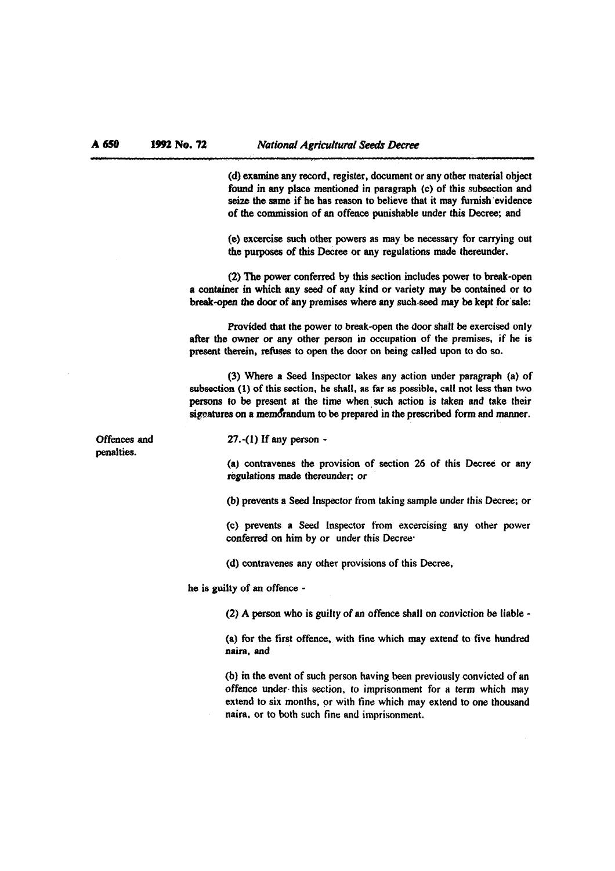(d) examine any record, register, document or any other material object found in my place mentioned in paragraph (c) of this subsection **and**  seize the same if he has reason to believe that it may furnish evidence of the commission of **an** offence punishable under this Decree: **and** 

**(e)** excercise such other powers as may be necessary for carrying out the purposes of this **Dectee** or any regulations made thereunder.

(2) **The** power conferred by this section includes power to break-open a container in which any **seed** of any kind or variety **may** be contained or to break-open the door of any premises where any such seed may be kept for sale:

Provided that the power to break-open the door shall be exercised only after the owner or any other person in occupation of the premises, if he is present therein, **refuses** to open the door on being called upon to do **so.** 

(3) Where a **Seed** Inspector takes any action under paragraph (a) of subsection (1) of this section, he shall, as far as possible, call not less than two persons to be present at the time when such action is taken and take their signatures on a memorandum to be prepared in the prescribed form and manner.

Offences and penalties.

**27.-(1)** If any person -

(a) contravenes the provision of section 26 of this Decree or any regulations made thereunder; or

(b) prevents a Seed Inspector from taking sample under this Decree; or

(C) pievents a **Seed** Inspector from excecising any other power conferred on him **by** or under this Decree.

(d) contravenes any other provisions of this Decree,

he is guilty of an offence -

**(2) A** person who is guilty of an offence shall on conviction **be** liable -

(a) for the first offence, with tine which may extend to five hundred naira, and

(b) in the event of such person having been previously convicted of an offence under this section, to imprisonment for a term which may extend to six months, or with tine which may extend to one thousand naira, or to both such fine and imprisonment.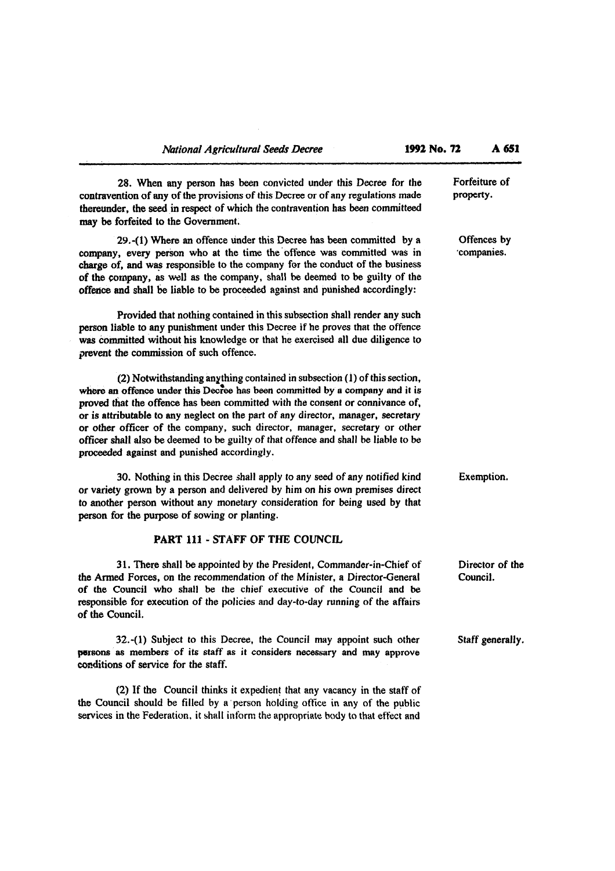$\hat{\mathcal{A}}$ 

| 28. When any person has been convicted under this Decree for the<br>contravention of any of the provisions of this Decree or of any regulations made<br>thereunder, the seed in respect of which the contravention has been committeed<br>may be forfeited to the Government.                                                                                                                                                                                                                                                                        | Forfeiture of<br>property.  |
|------------------------------------------------------------------------------------------------------------------------------------------------------------------------------------------------------------------------------------------------------------------------------------------------------------------------------------------------------------------------------------------------------------------------------------------------------------------------------------------------------------------------------------------------------|-----------------------------|
| 29.-(1) Where an offence under this Decree has been committed by a<br>company, every person who at the time the offence was committed was in<br>charge of, and was responsible to the company for the conduct of the business<br>of the company, as well as the company, shall be deemed to be guilty of the<br>offence and shall be liable to be proceeded against and punished accordingly:                                                                                                                                                        | Offences by<br>'companies.  |
| Provided that nothing contained in this subsection shall render any such<br>person liable to any punishment under this Decree if he proves that the offence<br>was committed without his knowledge or that he exercised all due diligence to<br>prevent the commission of such offence.                                                                                                                                                                                                                                                              |                             |
| (2) Notwithstanding anything contained in subsection (1) of this section,<br>where an offence under this Decree has been committed by a company and it is<br>proved that the offence has been committed with the consent or connivance of,<br>or is attributable to any neglect on the part of any director, manager, secretary<br>or other officer of the company, such director, manager, secretary or other<br>officer shall also be deemed to be guilty of that offence and shall be liable to be<br>proceeded against and punished accordingly. |                             |
| 30. Nothing in this Decree shall apply to any seed of any notified kind<br>or variety grown by a person and delivered by him on his own premises direct<br>to another person without any monetary consideration for being used by that<br>person for the purpose of sowing or planting.                                                                                                                                                                                                                                                              | Exemption.                  |
| PART 111 - STAFF OF THE COUNCIL                                                                                                                                                                                                                                                                                                                                                                                                                                                                                                                      |                             |
| 31. There shall be appointed by the President, Commander-in-Chief of<br>the Armed Forces, on the recommendation of the Minister, a Director-General<br>of the Council who shall be the chief executive of the Council and be<br>responsible for execution of the policies and day-to-day running of the affairs<br>of the Council.                                                                                                                                                                                                                   | Director of the<br>Council. |
| 32.-(1) Subject to this Decree, the Council may appoint such other<br>persons as members of its staff as it considers necessary and may approve<br>conditions of service for the staff.                                                                                                                                                                                                                                                                                                                                                              | Staff generally.            |
| (2) If the Council thinks it expedient that any vacancy in the staff of<br>the Council should be filled by a person holding office in any of the public                                                                                                                                                                                                                                                                                                                                                                                              |                             |

services in the Federation, it shall inform the appropriate body to that effect and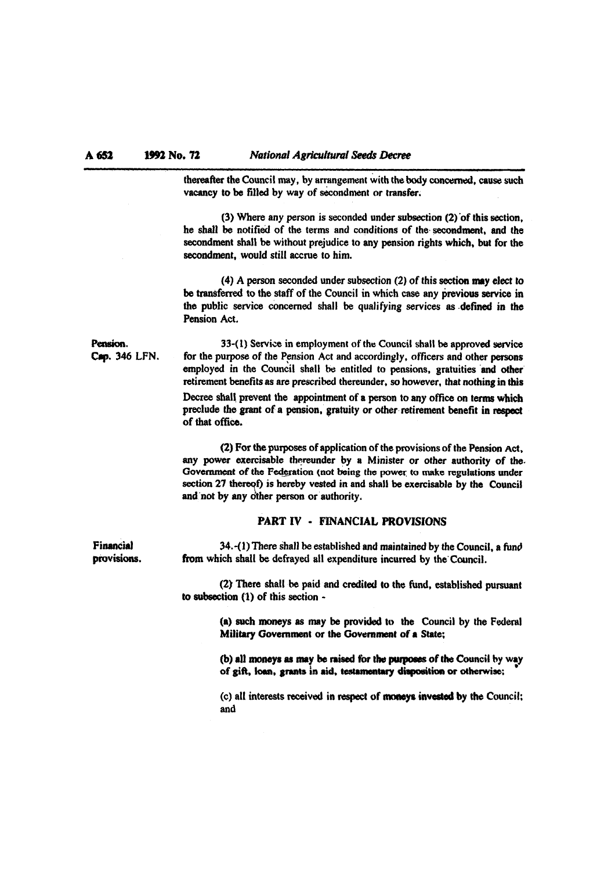**A652 l992** No. 72 *National Agricultural Seeds Decree*<br> *thereafter the Council may, by arrangement with the body concerned, cause such* vacancy to be filled by way of secondment or transfer.

> (3) Where any person is seconded under subsection  $(2)$  of this section. he shall be notified of the terms and conditions of the secondment, and the secondment shall be without prejudice to **any** pension rights which, but for the secondment, would still accrue to him.

> **(4) A** person seconded under subsection (2) of this section **my** elect to **be** transferred to the staff of the Council in which case any **previous** service in the public service concerned shall **be** qualifying services as .defined in the Pension Act.

**Pension.** 33-(1) Service in employment of the Council shall be approved service Cap. 346 LFN. for the purpose of the Pension Act and accordingly, officers and other persons for the purpose of the Pension Act and accordingly, officers and other persons employed in the Council shall be entitled to pensions, gratuities and other retirement benefits as are prescribed thereunder, so however, that nothing in **this**  Decree shall prevent the appointment of a person to any office on terms which preclude the grant of a pension, gratuity or other retirement benefit in respect of that office.

> (2) For the purposes of application of the provisions of the Pension Act, any power exercisable thereunder by a Minister or other authority of the. Government of the Federation (not being the power to make regulations under section 27 thereof) is hereby vested in and shall be exercisable by the Council and not by any other person or authority.

### **PART IV** - **FINANCIAL PROVISIONS**

**Financial** 34.-(1) There shall be established and maintained by the Council, a fund<br>provisions. from which shall be defraved all expenditure incurred by the Council. from which shall be defrayed all expenditure incurred by the Council.

> (2) There shall be paid and **credited** to **the** fund, established pursuant to subsection **('1)** of this section -

> > (a) such moneys as may be provided to the Council by the Federal Military Government or the Government of a State;

> > (b) all moneys as may be raised for the purposes of the Council by way of gift, loan, grants in aid, testamentary disposition or otherwise:

> > (c) all interests received in respect of **moneys invested** by the Council; and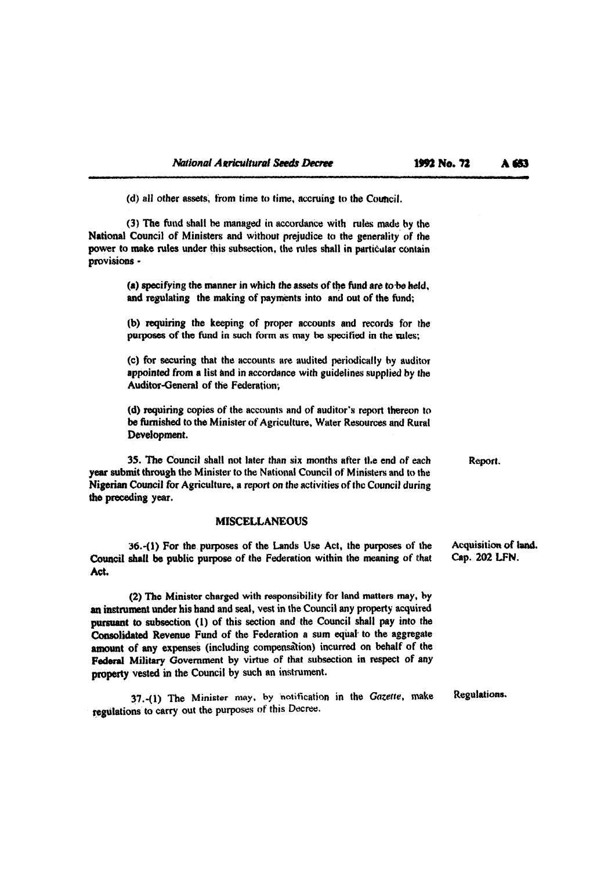**J** 

(d) all other assets, from time to time, accruing to the Council.

(3) **The** fund shall he managed **in** mrdance with rules **made by** the National Council of Ministers and without prejudice to the generality **of** the power to make rules under this subsection, the rules shall in particular contain provisions -

> (a) specifying the manner in which the assets of the fund are to be held, and regulating the making of payments into and out of the fund;

> **(b)** requiring the keeping of proper accounts and records for the purposes of the fund in such form as may be specified in the rules;

> **(c)** for securing that the accounts **are** audited peritxlically **hy** auditor appointed from a list and in accordance with guidelines supplied by the Auditor-General of the Federation;

> (d) requiring copies of the accounts and **of** auditor's report thereon to be furnished to the Minister of Agriculture, Water Resources and Rural Development.

35. The Council shall not later than six months after the end **of** each **Report.**  year submit through the Minister to the National Council **of** Ministers and to the Nigerian Council for Agriculture, a report on the activities of **thc** Council during the preceding year.

#### **MISCELLANEOUS**

36.-(1) For the purposes of the Lands Use Act, the purposes of the Acquisition of land.<br>shall be public purpose of the Federation within the meaning of that Cap. 202 LFN. Council shall be public purpose of the Federation within the meaning of that **Act,** 

(2) The Minister charged with responsibility for land matters may, by an instrument under his hand and seal, vest in the Council any property acquired **pursuant** to subsection **(1)** of this section and the Council shall pay into the Consolidated Revenue Fund of the Federation a sum equal to the aggregate amount of any expenses (including compensation) incurred on behalf of the **Federal** Military Government by virtue of that subsection in respect of any property vested in the Council by such an instrument.

37.-(1) The Minister **may,** by notification in the **Gazette,** make Regulations. tegulations to **carry** out the purposes of this Decree.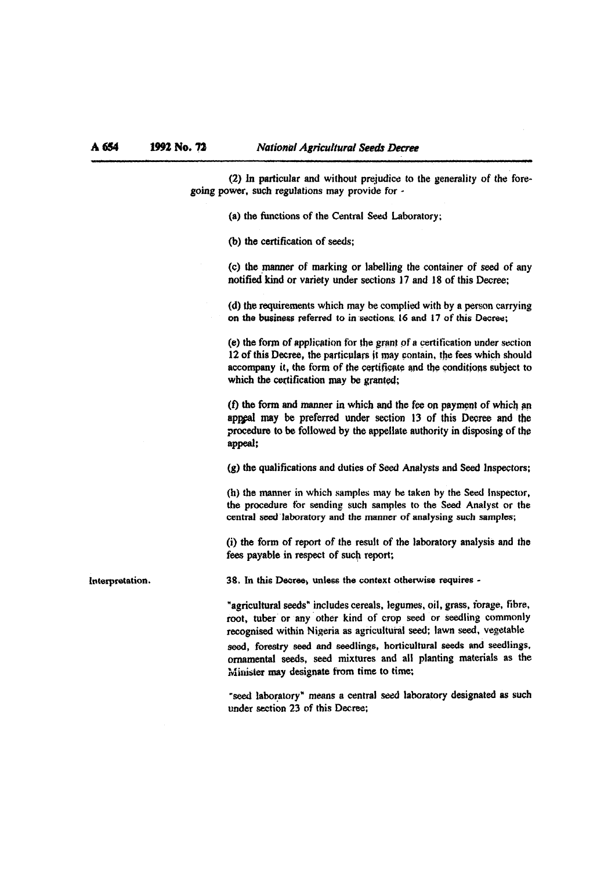$(2)$  In particular and without prejudice to the generality of the foregoing power, such regulations may provide for -

(a) the functions of the Central Seed Laboratory;

(b) the certification of seeds;

(C) the manner of marking or labelling the container of seed of any notified kind or variety under sections 17 and 18 of this Decree;

(d) the requirements which may he complied with by a person carrying on the **business** referred to in sections. 16 and 17 of this Decree;

(e) the form af application for the grant of **a** certitication under section 12 of this Decree, the particulars it may contain, the fees which should accompany it, the form of the certificate and the conditions subject to which the certification may **be granted;** 

**(f)** the form **and** manner in which and the **fee** on payment of which pn appeal may be preferred under section 13 of this Decree and the **imcedure** to be followed by the appellate authority in disposing of **tbs**  appeal:

 $(g)$  the qualifications and duties of Seed Analysts and Seed Inspectors;

(h) the manner in which samples may be taken by the Seed Inspector, the procedure for sending such samples to the **Seed** Analyst or the central seed laboratory and the manner of analysing such samples;

(i) the form of report of the result of the laboratory analysis and the fees payable in respect of such report;

Interpretation. 38. In this Decree, unless the context otherwise requires -

"agricultural seeds" includes cereals, legumes, oil, grass, forage, fibre, root, tuber or any other kind of crop seed or seedling commonly recognised within Nigeria as agricultural **seed;** lawn seed, vegetable

seed, **forestry** seed and seedlings, horticultural seeds and seedlings, ornamental seeds, seed mixtures and all planting materials as the **inister may designate from time to time;** 

**"seed** laboratory" means a central **seal** laboratory designated as such under section 23 of this Decree;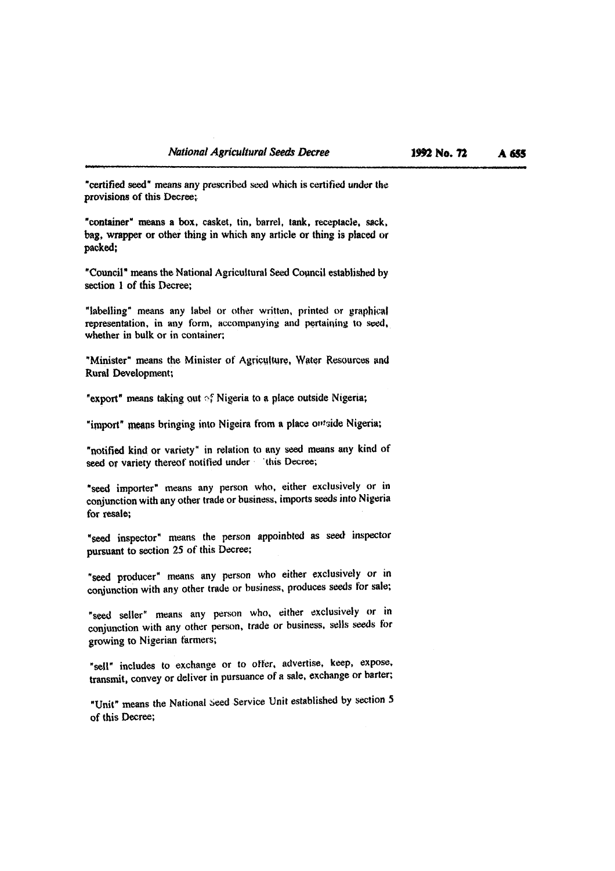"certitied **seed"** means any prescribed seed which is certified under **the**  provisions of this **Decree;.** 

"container" means a box, casket, tin, barrel, tank, receptacle, sack, bag, wrapper or othe~ thing in which any article or thing is **placecl** or packed;

"Council" means the National Agricultural Seed Cowncil established by section **1** of this **Decree;** 

"labelling" means any label or other written, printed or **graphic4**  representation, in any form, accompanying and pertaining to seed, whether in bulk or in container;

"Minister" means the Minister of Agriculture, Water Resources and **Rural** Development;

**"export"** means taking out of Nigeria to a place outside Nigeria;

"import" means bringing into Nigeira from a place owtside Nigeria;

"notified kind or variety" in relation to any seed means any kind of **seed or** variety thereof notified under 'this Decree;

"seed importer" means any person **who,** either exclusively or in conjunction with any other trade or business, imports seeds into Nigeria for resale;

"seed inspector\* means the person appoinhted as **seed** inspector pursuant to section 25 of this Decree;

**"seed** producer" means any person who either exclusively or in conjunction with any other trade or business, produces seeds for sale;

**"seed** seller" means any person who, either exclusively or in conjunction with any other person, trade or business, sells seeds for growing to Nigerian farmers;

"sell" includes to exchange or to offer, advertise, keep, expose, transmit, convey or deliver in pursuance of a sale, exchange or barter;

"Unit" means the National Seed Service Unit established by section 5 **of** this Decree;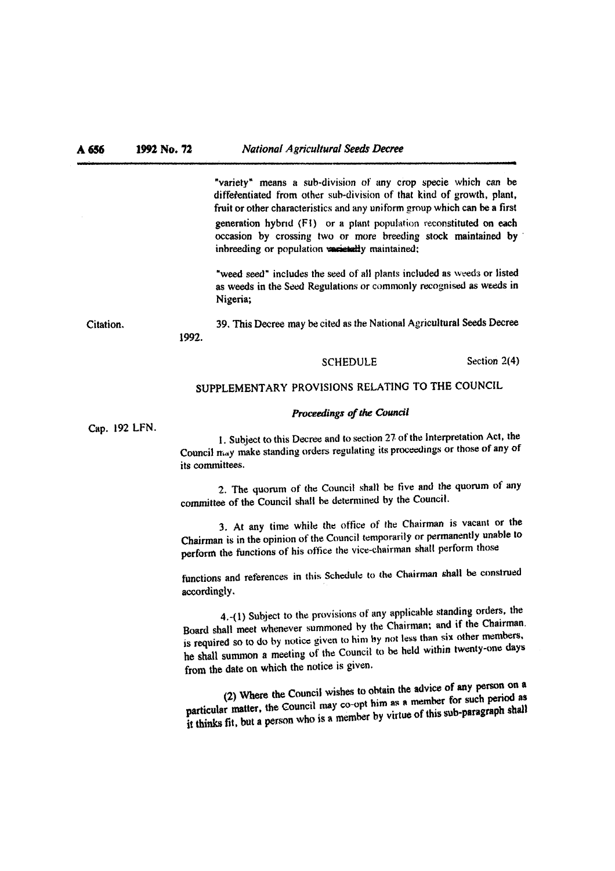"variety" means a sub-division of any crop specie which can be diffeientiated from other sub-division **of** that kind of growth, plant, fruit or other characteristics and any uniform group which can be a first generation hybrid (F1) or a plant population reconstituted on each occasion by crossing two or more breeding **stock** maintained by inbreeding or population varietally maintained;

"weed seed" includes the seed of all plants included as weeds or listed as weeds in the Seed Regulations or commonly recognised as weeds in Nigeria;

Citation. 39. This Decree **may be** cited as the Nationnl Agricultural Seals Decree **1992.** 

**SCHEDULE** Section 2(4)

# **SUPPLEMENTARY** PROVISIONS **RELATING** TO THE COUNCIL

### **Proceedings of the Council**

Cap. 192 **LFN.** 

1. Subject to this Decree and to section 27 of the Interpretation Act, the Council  $m_A y$  make standing orders regulating its proceedings or those of any of its committees.

2. The quorum of the Council shall be **tive** and the quorum of any committee of the Council shall he determined by the Council.

3. **At** any time while the **office** of the Chairman is vacant or the Chairman is in the opinion of the Council temporarily or permanently unable to perform the functions of his **oftice** the vice-chairman shall perform those

functions and references in this Schedule to the Chairman shall be construed accordingly.

4.-(1) Subject to the provisions **of** any applicable standing orders, the Board shall meet whenever summoned hy the Chairman; **and** if the Chairman. is required so to do **by** notice given to him **by** not less than six other memhers, he shall **summon** a meeting of the Council **to** be held within twenty-one days from the date on which the notice is given.

(2) Where the Council wishes to obtain the advice of any person on a particular matter, **(he** Council may **co-opt** him **as** a **member for** such **period** as it **thinks** fit, **but s person who is 1 mrrnher** by virtue of thb sub-paragraph **shall**